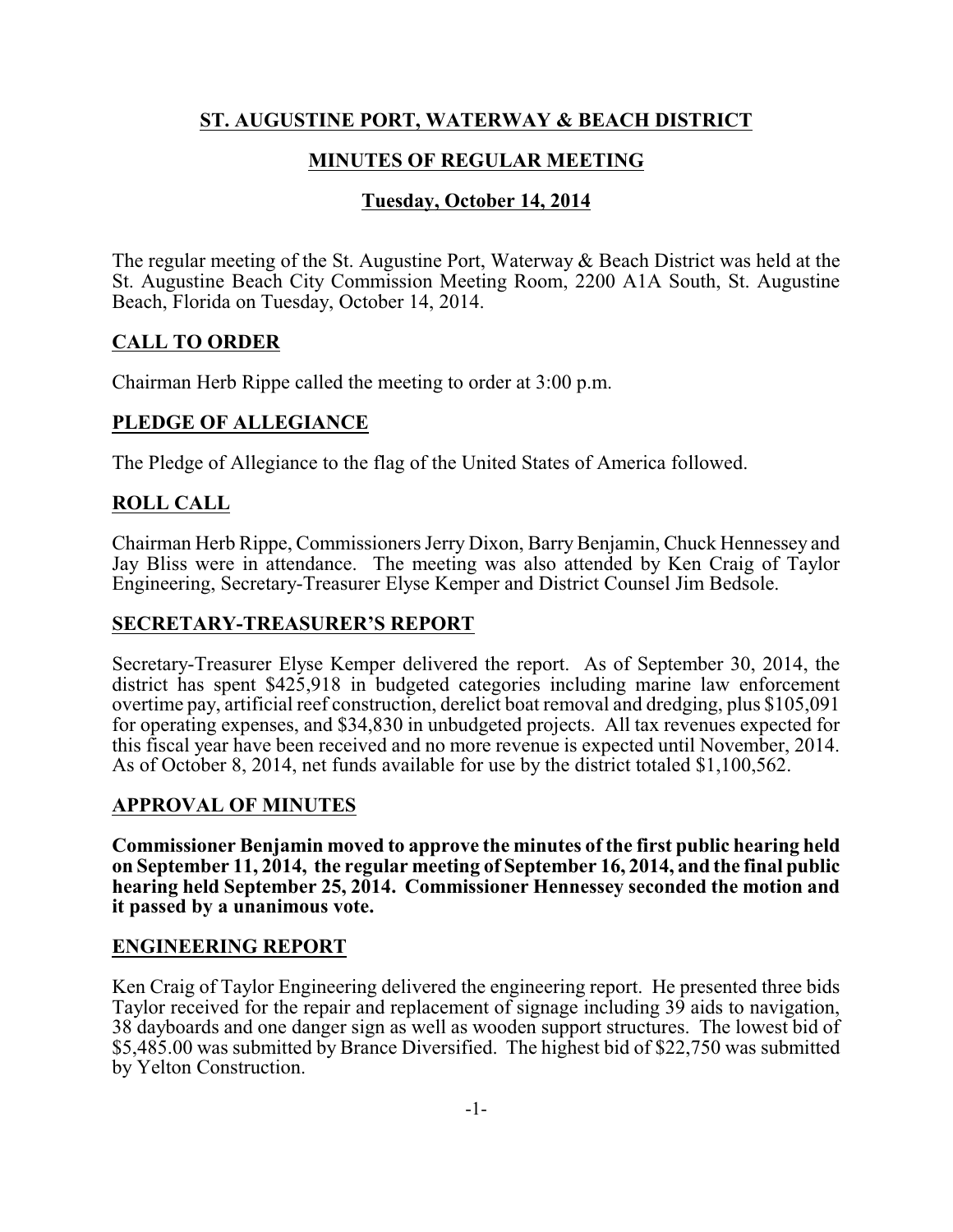## **ST. AUGUSTINE PORT, WATERWAY & BEACH DISTRICT**

# **MINUTES OF REGULAR MEETING**

# **Tuesday, October 14, 2014**

The regular meeting of the St. Augustine Port, Waterway & Beach District was held at the St. Augustine Beach City Commission Meeting Room, 2200 A1A South, St. Augustine Beach, Florida on Tuesday, October 14, 2014.

## **CALL TO ORDER**

Chairman Herb Rippe called the meeting to order at 3:00 p.m.

# **PLEDGE OF ALLEGIANCE**

The Pledge of Allegiance to the flag of the United States of America followed.

## **ROLL CALL**

Chairman Herb Rippe, Commissioners Jerry Dixon, BarryBenjamin, Chuck Hennessey and Jay Bliss were in attendance. The meeting was also attended by Ken Craig of Taylor Engineering, Secretary-Treasurer Elyse Kemper and District Counsel Jim Bedsole.

#### **SECRETARY-TREASURER'S REPORT**

Secretary-Treasurer Elyse Kemper delivered the report. As of September 30, 2014, the district has spent \$425,918 in budgeted categories including marine law enforcement overtime pay, artificial reef construction, derelict boat removal and dredging, plus \$105,091 for operating expenses, and \$34,830 in unbudgeted projects. All tax revenues expected for this fiscal year have been received and no more revenue is expected until November, 2014. As of October 8, 2014, net funds available for use by the district totaled \$1,100,562.

## **APPROVAL OF MINUTES**

**Commissioner Benjamin moved to approve the minutes of the first public hearing held on September 11, 2014, the regular meeting of September 16, 2014, and the final public hearing held September 25, 2014. Commissioner Hennessey seconded the motion and it passed by a unanimous vote.** 

#### **ENGINEERING REPORT**

Ken Craig of Taylor Engineering delivered the engineering report. He presented three bids Taylor received for the repair and replacement of signage including 39 aids to navigation, 38 dayboards and one danger sign as well as wooden support structures. The lowest bid of \$5,485.00 was submitted by Brance Diversified. The highest bid of \$22,750 was submitted by Yelton Construction.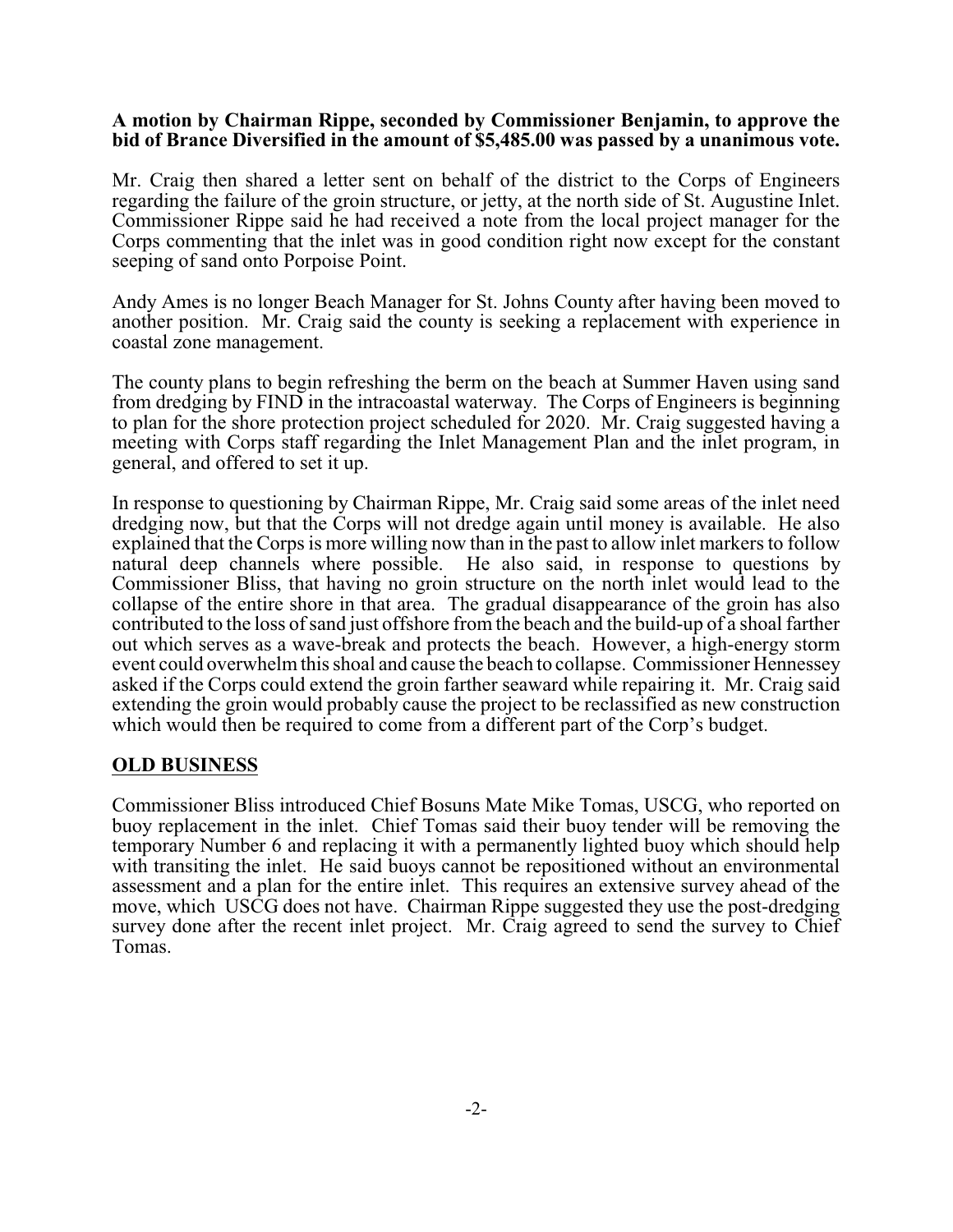#### **A motion by Chairman Rippe, seconded by Commissioner Benjamin, to approve the bid of Brance Diversified in the amount of \$5,485.00 was passed by a unanimous vote.**

Mr. Craig then shared a letter sent on behalf of the district to the Corps of Engineers regarding the failure of the groin structure, or jetty, at the north side of St. Augustine Inlet. Commissioner Rippe said he had received a note from the local project manager for the Corps commenting that the inlet was in good condition right now except for the constant seeping of sand onto Porpoise Point.

Andy Ames is no longer Beach Manager for St. Johns County after having been moved to another position. Mr. Craig said the county is seeking a replacement with experience in coastal zone management.

The county plans to begin refreshing the berm on the beach at Summer Haven using sand from dredging by FIND in the intracoastal waterway. The Corps of Engineers is beginning to plan for the shore protection project scheduled for 2020. Mr. Craig suggested having a meeting with Corps staff regarding the Inlet Management Plan and the inlet program, in general, and offered to set it up.

In response to questioning by Chairman Rippe, Mr. Craig said some areas of the inlet need dredging now, but that the Corps will not dredge again until money is available. He also explained that the Corps is more willing now than in the past to allow inlet markers to follow natural deep channels where possible. He also said, in response to questions by Commissioner Bliss, that having no groin structure on the north inlet would lead to the collapse of the entire shore in that area. The gradual disappearance of the groin has also contributed to the loss of sand just offshore from the beach and the build-up of a shoal farther out which serves as a wave-break and protects the beach. However, a high-energy storm event could overwhelmthis shoal and cause the beach to collapse. Commissioner Hennessey asked if the Corps could extend the groin farther seaward while repairing it. Mr. Craig said extending the groin would probably cause the project to be reclassified as new construction which would then be required to come from a different part of the Corp's budget.

## **OLD BUSINESS**

Commissioner Bliss introduced Chief Bosuns Mate Mike Tomas, USCG, who reported on buoy replacement in the inlet. Chief Tomas said their buoy tender will be removing the temporary Number 6 and replacing it with a permanently lighted buoy which should help with transiting the inlet. He said buoys cannot be repositioned without an environmental assessment and a plan for the entire inlet. This requires an extensive survey ahead of the move, which USCG does not have. Chairman Rippe suggested they use the post-dredging survey done after the recent inlet project. Mr. Craig agreed to send the survey to Chief Tomas.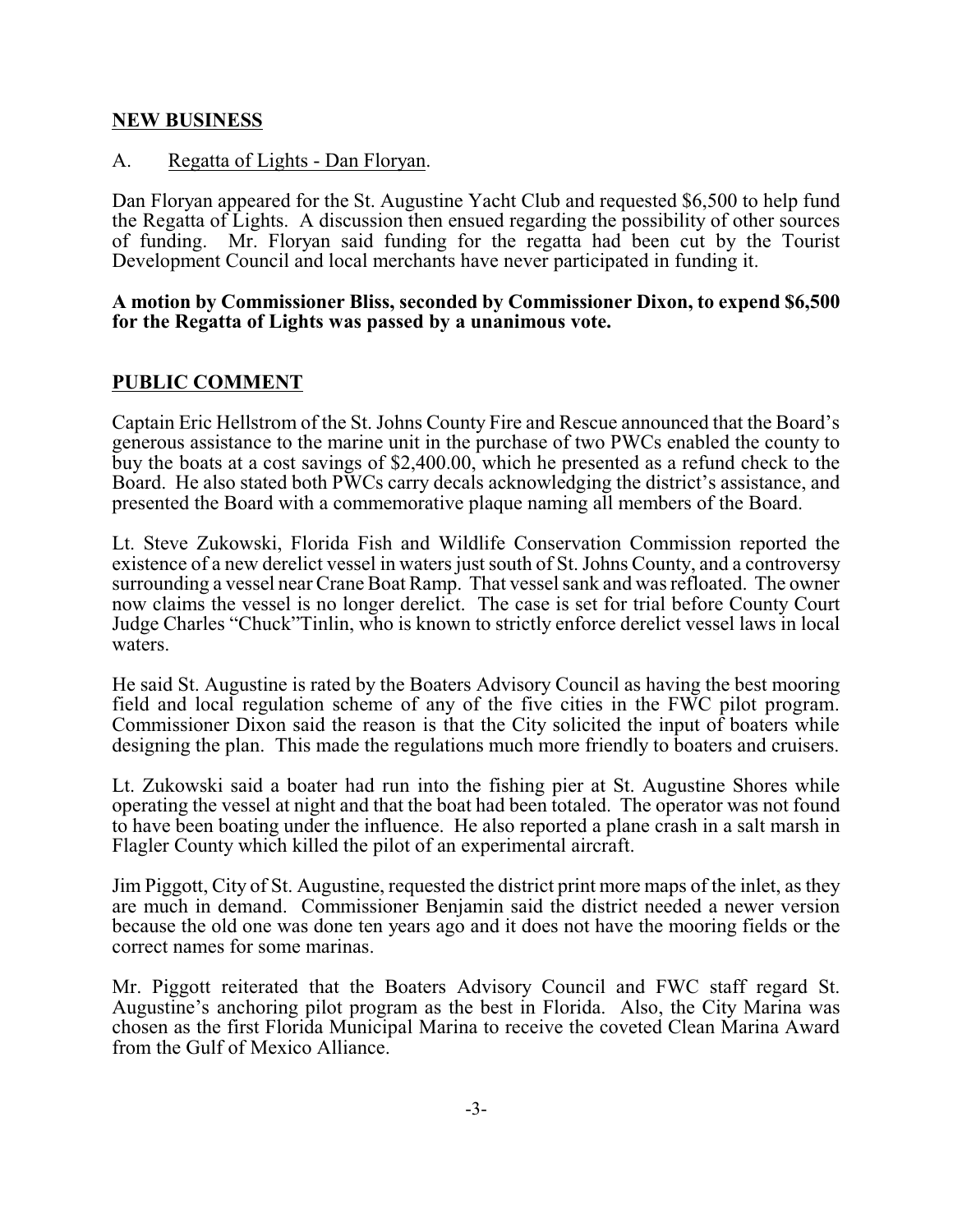#### **NEW BUSINESS**

#### A. Regatta of Lights - Dan Floryan.

Dan Floryan appeared for the St. Augustine Yacht Club and requested \$6,500 to help fund the Regatta of Lights. A discussion then ensued regarding the possibility of other sources of funding. Mr. Floryan said funding for the regatta had been cut by the Tourist Development Council and local merchants have never participated in funding it.

#### **A motion by Commissioner Bliss, seconded by Commissioner Dixon, to expend \$6,500 for the Regatta of Lights was passed by a unanimous vote.**

#### **PUBLIC COMMENT**

Captain Eric Hellstrom of the St. Johns County Fire and Rescue announced that the Board's generous assistance to the marine unit in the purchase of two PWCs enabled the county to buy the boats at a cost savings of \$2,400.00, which he presented as a refund check to the Board. He also stated both PWCs carry decals acknowledging the district's assistance, and presented the Board with a commemorative plaque naming all members of the Board.

Lt. Steve Zukowski, Florida Fish and Wildlife Conservation Commission reported the existence of a new derelict vessel in waters just south of St. Johns County, and a controversy surrounding a vessel near Crane Boat Ramp. That vessel sank and was refloated. The owner now claims the vessel is no longer derelict. The case is set for trial before County Court Judge Charles "Chuck"Tinlin, who is known to strictly enforce derelict vessel laws in local waters.

He said St. Augustine is rated by the Boaters Advisory Council as having the best mooring field and local regulation scheme of any of the five cities in the FWC pilot program. Commissioner Dixon said the reason is that the City solicited the input of boaters while designing the plan. This made the regulations much more friendly to boaters and cruisers.

Lt. Zukowski said a boater had run into the fishing pier at St. Augustine Shores while operating the vessel at night and that the boat had been totaled. The operator was not found to have been boating under the influence. He also reported a plane crash in a salt marsh in Flagler County which killed the pilot of an experimental aircraft.

Jim Piggott, City of St. Augustine, requested the district print more maps of the inlet, as they are much in demand. Commissioner Benjamin said the district needed a newer version because the old one was done ten years ago and it does not have the mooring fields or the correct names for some marinas.

Mr. Piggott reiterated that the Boaters Advisory Council and FWC staff regard St. Augustine's anchoring pilot program as the best in Florida. Also, the City Marina was chosen as the first Florida Municipal Marina to receive the coveted Clean Marina Award from the Gulf of Mexico Alliance.